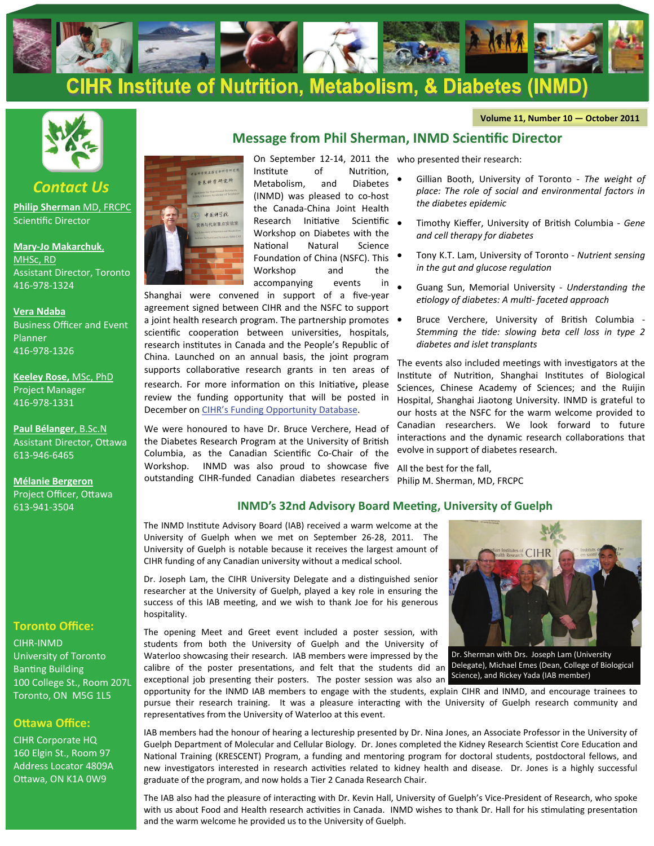

#### **Volume 11, Number 10 — October 2011**



*Contact Us* **[Philip Sherman](mailto:%20sd.inmd@sickkids.ca)** MD, FRCPC

Scientific Director

**Mary‐[Jo Makarchuk](mailto:%20mary-jo.makarchuk@sickkids.ca)**, [MHSc, RD](mailto:%20mary-jo.makarchuk@sickkids.ca) Assistant Director, Toronto 416‐978‐1324

#### **[Vera Ndaba](mailto:vera.ndaba@sickkids.ca)**

Business Officer and Event Planner 416‐978‐1326

**[Keeley Rose,](mailto:keeley.rose@sickkids.ca)** MSc, PhD Project Manager 416‐978‐1331

**[Paul Bélanger](mailto:paul.belanger@cihr-irsc.gc.ca)**, B.Sc.N Assistant Director, Ottawa 613‐946‐6465

**[Mélanie Bergeron](mailto:melanie.bergeron@cihr-irsc.gc.ca)**  Project Officer, Ottawa 613‐941‐3504

#### **Toronto Office:**

CIHR‐INMD University of Toronto **Banting Building** 100 College St., Room 207L Toronto, ON M5G 1L5

#### **OƩawa Office:**

CIHR Corporate HQ 160 Elgin St., Room 97 Address Locator 4809A Ottawa, ON K1A 0W9



On September 12‐14, 2011 the who presented their research: Institute of Nutrition, Metabolism, and Diabetes (INMD) was pleased to co‐host the Canada‐China Joint Health Research Initiative Scientific . Workshop on Diabetes with the National Natural Science Foundation of China (NSFC). This Workshop and the accompanying events in

Shanghai were convened in support of a five-year agreement signed between CIHR and the NSFC to support a joint health research program. The partnership promotes  $\bullet$ scientific cooperation between universities, hospitals, research institutes in Canada and the People's Republic of China. Launched on an annual basis, the joint program supports collaborative research grants in ten areas of research. For more information on this Initiative, please review the funding opportunity that will be posted in December on [CIHR's Funding Opportunity Database](http://www.researchnet-recherchenet.ca/rnr16/srch.do?all=1&search=true&org=CIHR&sort=program&masterList=true&view=currentOpps&fodAgency=CIHR&fodLanguage=E).

We were honoured to have Dr. Bruce Verchere, Head of the Diabetes Research Program at the University of British Columbia, as the Canadian ScienƟfic Co‐Chair of the Workshop. INMD was also proud to showcase five outstanding CIHR‐funded Canadian diabetes researchers

**Message from Phil Sherman, INMD Scientific Director** 

- Gillian Booth, University of Toronto ‐ *The weight of place: The role of social and environmental factors in the diabetes epidemic*
- Timothy Kieffer, University of BriƟsh Columbia ‐ *Gene and cell therapy for diabetes*
- Tony K.T. Lam, University of Toronto ‐ *Nutrient sensing in the gut and glucose regulation*
- Guang Sun, Memorial University ‐ *Understanding the eƟology of diabetes: A mulƟ‐ faceted approach*
- Bruce Verchere, University of British Columbia -*Stemming the Ɵde: slowing beta cell loss in type 2 diabetes and islet transplants*

The events also included meetings with investigators at the Institute of Nutrition, Shanghai Institutes of Biological Sciences, Chinese Academy of Sciences; and the Ruijin Hospital, Shanghai Jiaotong University. INMD is grateful to our hosts at the NSFC for the warm welcome provided to Canadian researchers. We look forward to future interactions and the dynamic research collaborations that evolve in support of diabetes research.

All the best for the fall, Philip M. Sherman, MD, FRCPC

### **INMD's 32nd Advisory Board Meeting, University of Guelph**

The INMD Institute Advisory Board (IAB) received a warm welcome at the University of Guelph when we met on September 26‐28, 2011. The University of Guelph is notable because it receives the largest amount of CIHR funding of any Canadian university without a medical school.

Dr. Joseph Lam, the CIHR University Delegate and a distinguished senior researcher at the University of Guelph, played a key role in ensuring the success of this IAB meeting, and we wish to thank Joe for his generous hospitality.

The opening Meet and Greet event included a poster session, with students from both the University of Guelph and the University of Waterloo showcasing their research. IAB members were impressed by the calibre of the poster presentations, and felt that the students did an Delegate), Michael Emes (Dean, College of Biological



exceptional job presenting their posters. The poster session was also an Science), and Rickey Yada (IAB member) Dr. Sherman with Drs. Joseph Lam (University

opportunity for the INMD IAB members to engage with the students, explain CIHR and INMD, and encourage trainees to pursue their research training. It was a pleasure interacting with the University of Guelph research community and representatives from the University of Waterloo at this event.

IAB members had the honour of hearing a lectureship presented by Dr. Nina Jones, an Associate Professor in the University of Guelph Department of Molecular and Cellular Biology. Dr. Jones completed the Kidney Research Scientist Core Education and National Training (KRESCENT) Program, a funding and mentoring program for doctoral students, postdoctoral fellows, and new investigators interested in research activities related to kidney health and disease. Dr. Jones is a highly successful graduate of the program, and now holds a Tier 2 Canada Research Chair.

The IAB also had the pleasure of interacting with Dr. Kevin Hall, University of Guelph's Vice-President of Research, who spoke with us about Food and Health research activities in Canada. INMD wishes to thank Dr. Hall for his stimulating presentation and the warm welcome he provided us to the University of Guelph.